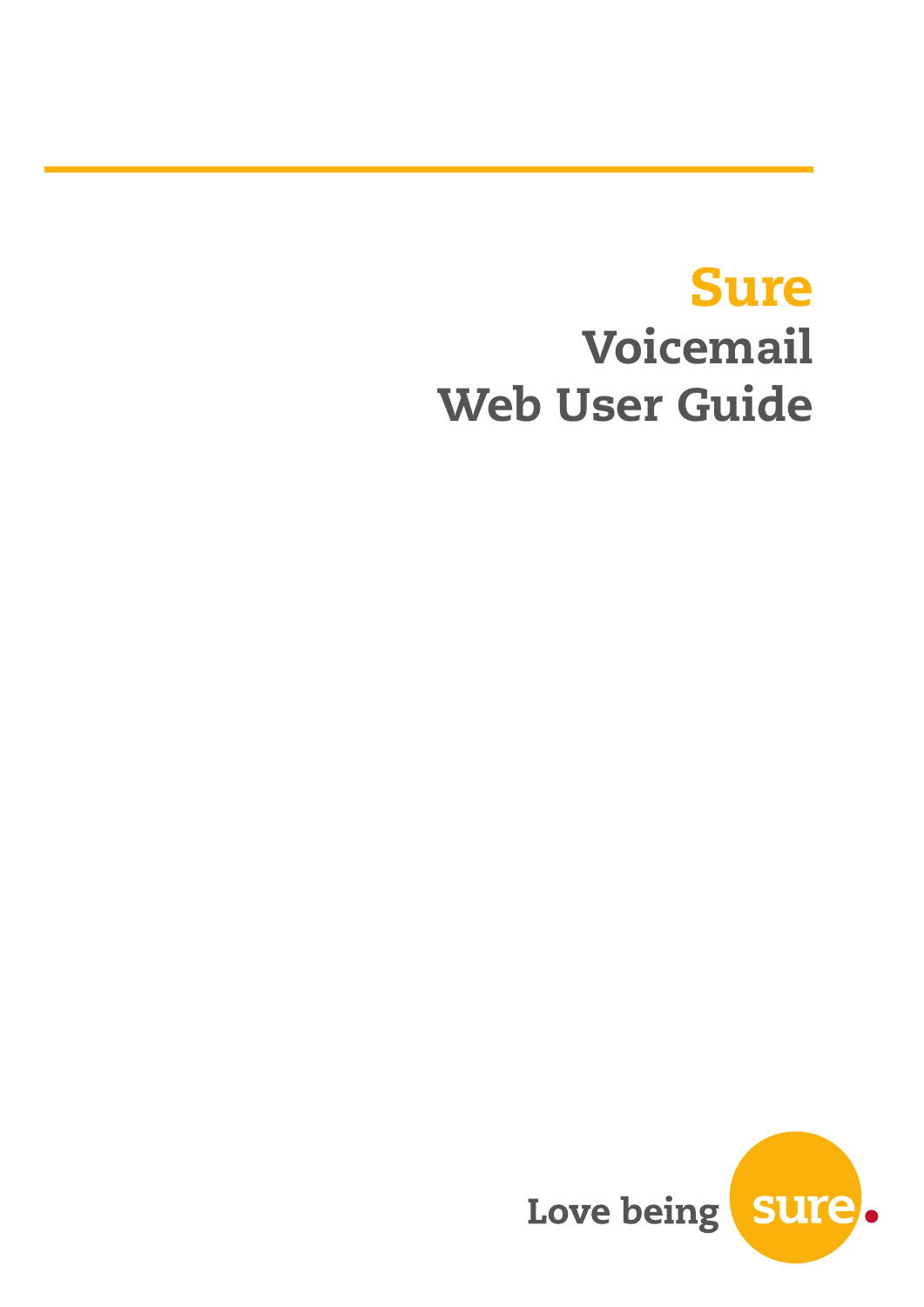# Sure Voicemail Web User Guide

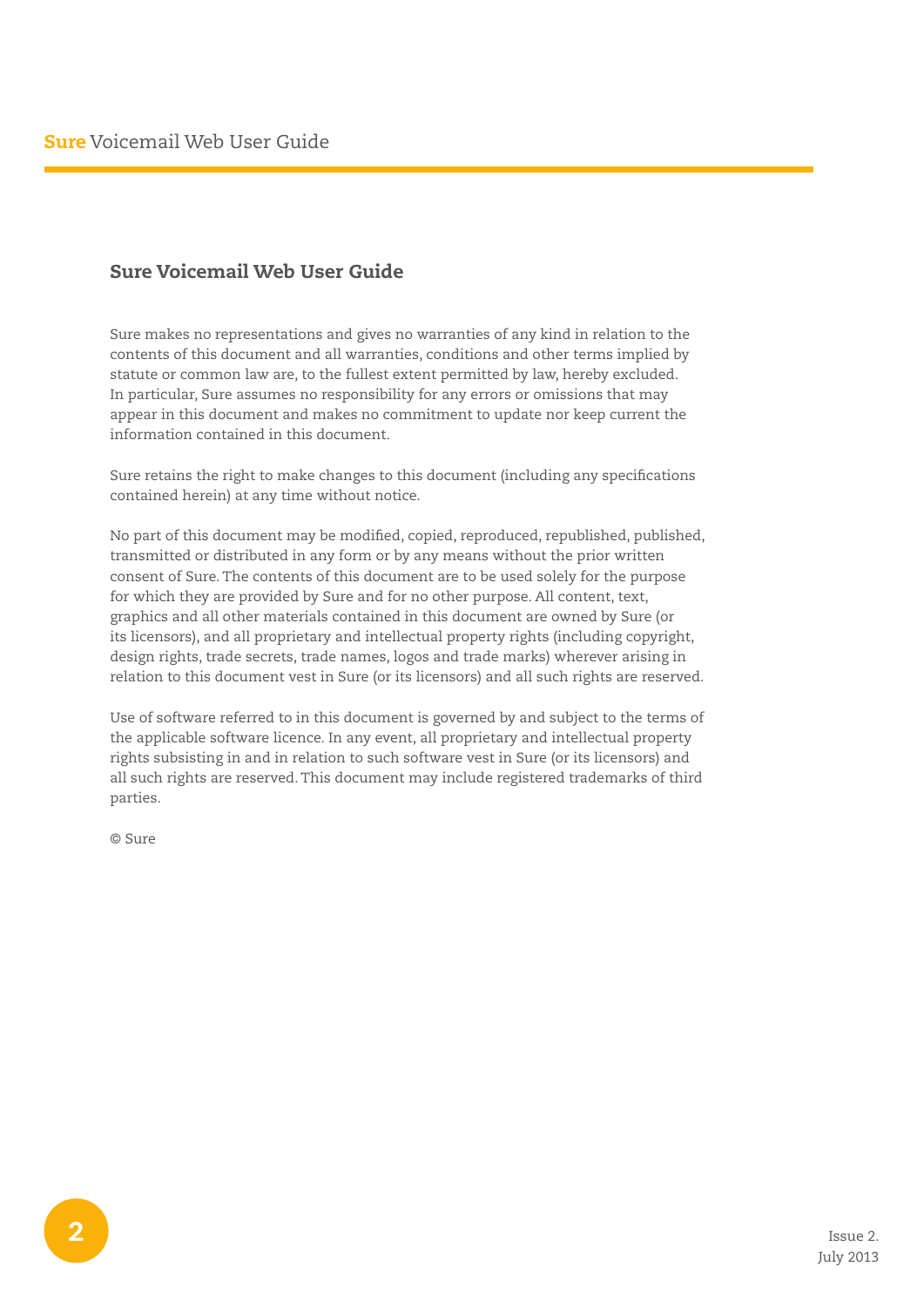### Sure Voicemail Web User Guide

Sure makes no representations and gives no warranties of any kind in relation to the contents of this document and all warranties, conditions and other terms implied by statute or common law are, to the fullest extent permitted by law, hereby excluded. In particular, Sure assumes no responsibility for any errors or omissions that may appear in this document and makes no commitment to update nor keep current the information contained in this document.

Sure retains the right to make changes to this document (including any specifications contained herein) at any time without notice.

No part of this document may be modified, copied, reproduced, republished, published, transmitted or distributed in any form or by any means without the prior written consent of Sure. The contents of this document are to be used solely for the purpose for which they are provided by Sure and for no other purpose. All content, text, graphics and all other materials contained in this document are owned by Sure (or its licensors), and all proprietary and intellectual property rights (including copyright, design rights, trade secrets, trade names, logos and trade marks) wherever arising in relation to this document vest in Sure (or its licensors) and all such rights are reserved.

Use of software referred to in this document is governed by and subject to the terms of the applicable software licence. In any event, all proprietary and intellectual property rights subsisting in and in relation to such software vest in Sure (or its licensors) and all such rights are reserved. This document may include registered trademarks of third parties.

© Sure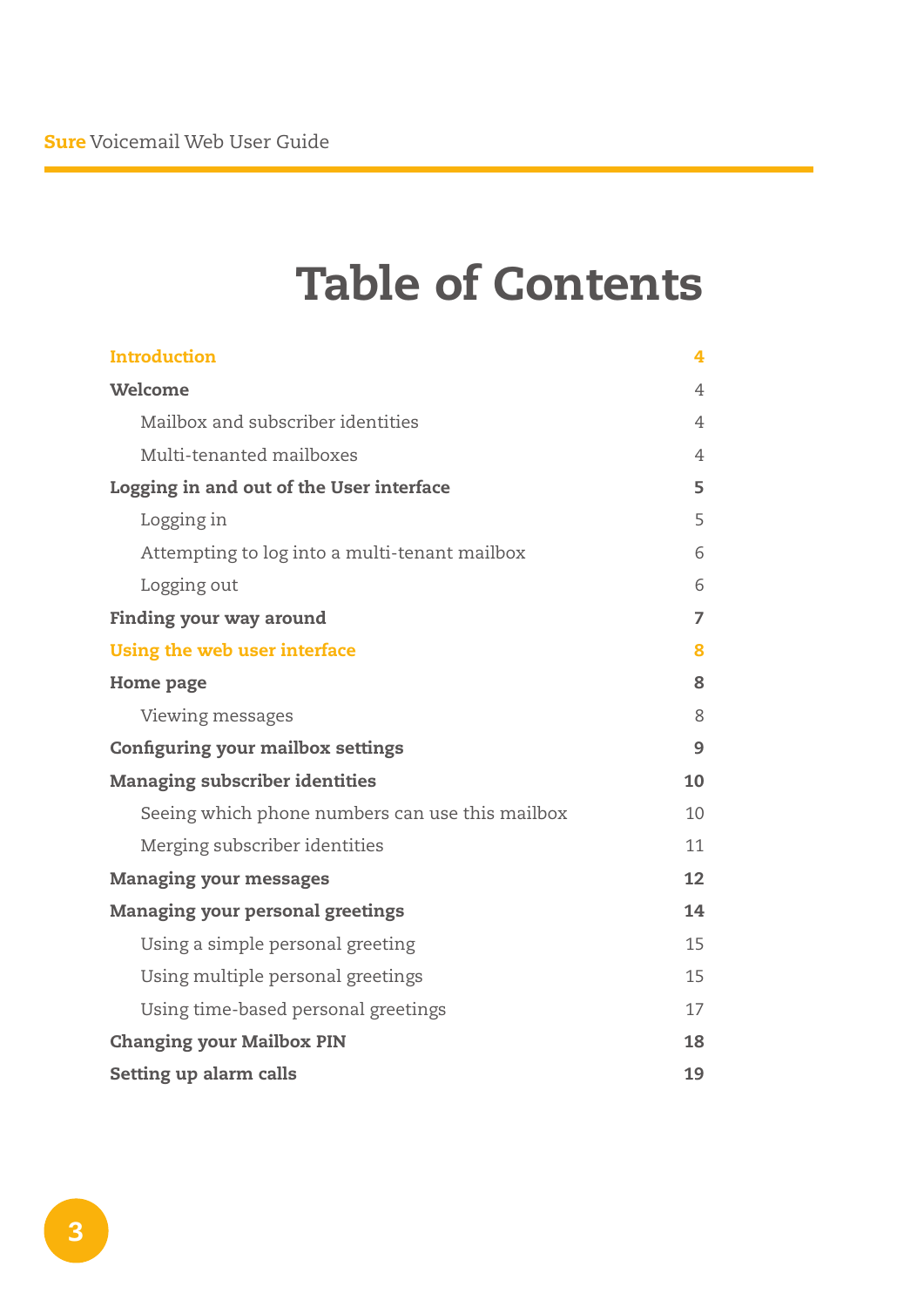## Table of Contents

| <b>Introduction</b>                             | 4              |
|-------------------------------------------------|----------------|
| Welcome                                         | 4              |
| Mailbox and subscriber identities               | 4              |
| Multi-tenanted mailboxes                        | 4              |
| Logging in and out of the User interface        | 5              |
| Logging in                                      | 5              |
| Attempting to log into a multi-tenant mailbox   | 6              |
| Logging out                                     | 6              |
| <b>Finding your way around</b>                  | $\overline{7}$ |
| Using the web user interface                    | 8              |
| <b>Home page</b>                                | 8              |
| Viewing messages                                | 8              |
| <b>Configuring your mailbox settings</b>        | 9              |
| <b>Managing subscriber identities</b>           | 10             |
| Seeing which phone numbers can use this mailbox | 10             |
| Merging subscriber identities                   | 11             |
| <b>Managing your messages</b>                   | 12             |
| <b>Managing your personal greetings</b>         | 14             |
| Using a simple personal greeting                | 15             |
| Using multiple personal greetings               | 15             |
| Using time-based personal greetings             | 17             |
| <b>Changing your Mailbox PIN</b>                | 18             |
| Setting up alarm calls                          | 19             |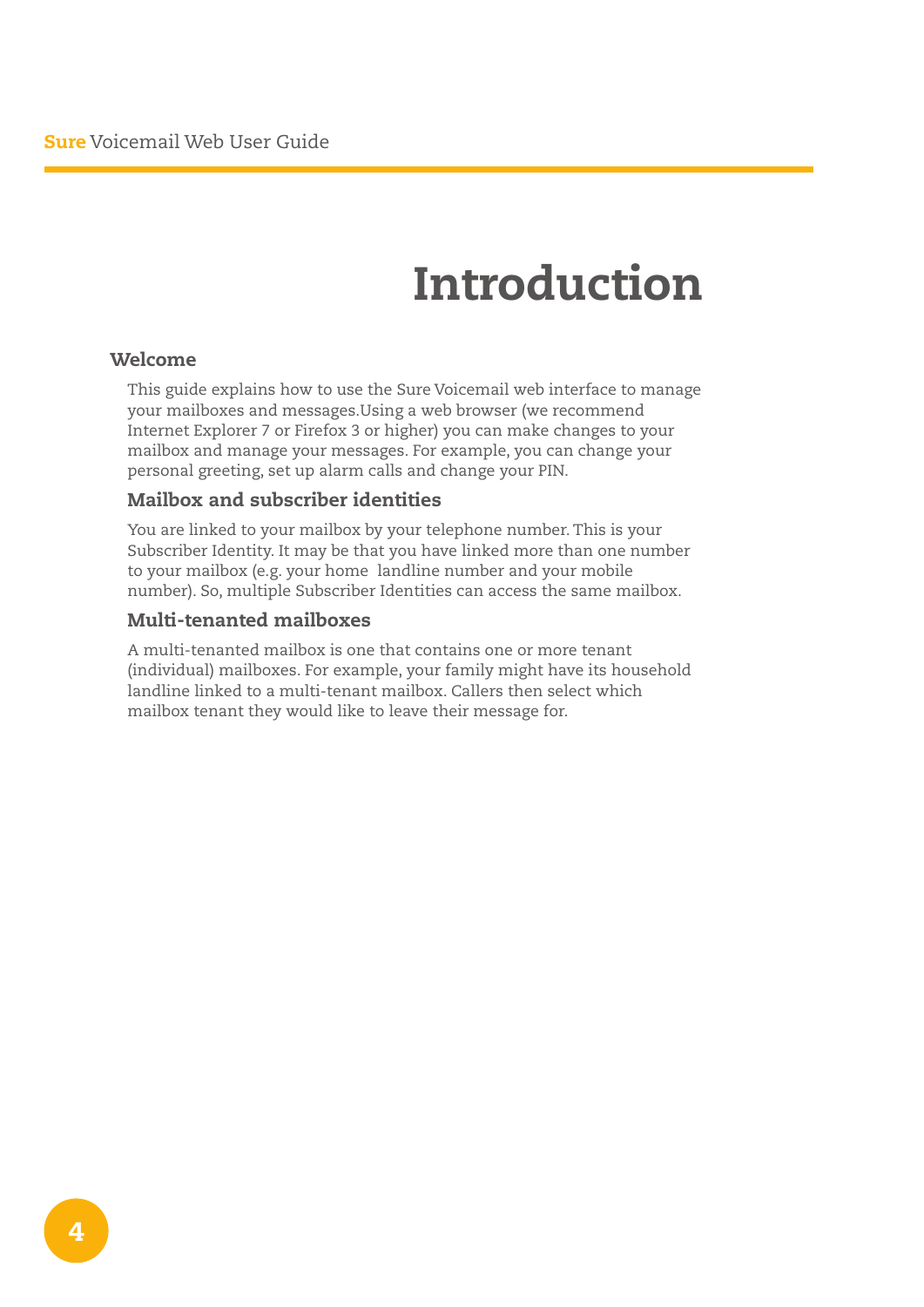## Introduction

#### Welcome

This guide explains how to use the Sure Voicemail web interface to manage your mailboxes and messages.Using a web browser (we recommend Internet Explorer 7 or Firefox 3 or higher) you can make changes to your mailbox and manage your messages. For example, you can change your personal greeting, set up alarm calls and change your PIN.

#### Mailbox and subscriber identities

You are linked to your mailbox by your telephone number. This is your Subscriber Identity. It may be that you have linked more than one number to your mailbox (e.g. your home landline number and your mobile number). So, multiple Subscriber Identities can access the same mailbox.

#### Multi-tenanted mailboxes

A multi-tenanted mailbox is one that contains one or more tenant (individual) mailboxes. For example, your family might have its household landline linked to a multi-tenant mailbox. Callers then select which mailbox tenant they would like to leave their message for.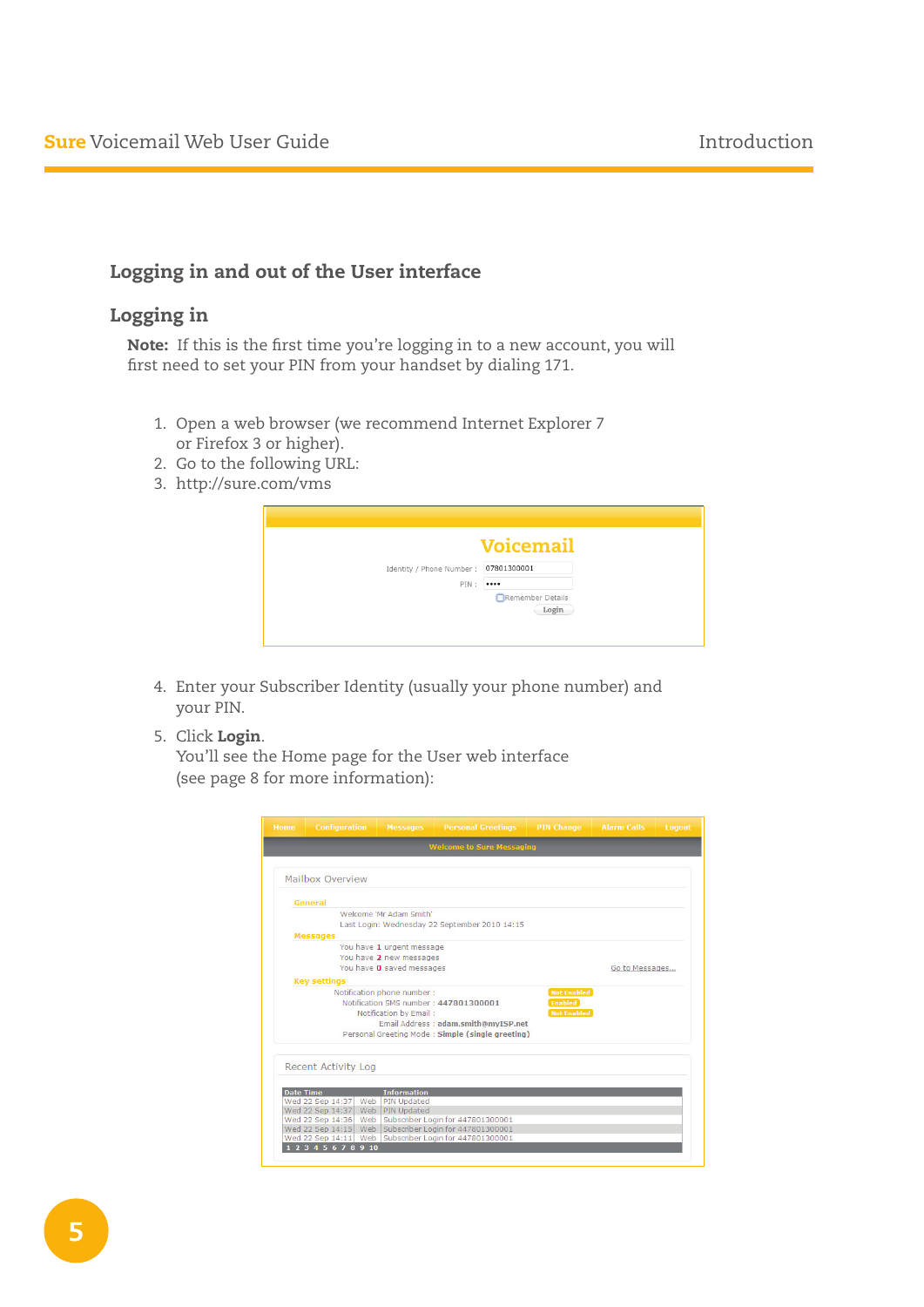## Logging in and out of the User interface

## Logging in

Note: If this is the first time you're logging in to a new account, you will first need to set your PIN from your handset by dialing 171.

- 1. Open a web browser (we recommend Internet Explorer 7 or Firefox 3 or higher).
- 2. Go to the following URL:
- 3. http://sure.com/vms

|                           | <b>Voicemail</b>          |
|---------------------------|---------------------------|
| Identity / Phone Number : | 07801300001               |
| PIN:                      |                           |
|                           | Remember Details<br>Login |

- 4. Enter your Subscriber Identity (usually your phone number) and your PIN.
- 5. Click Login.

 You'll see the Home page for the User web interface (see page 8 for more information):

| Home             | <b>Configuration</b>                 | <b>Messages</b>             | <b>Personal Greetings</b>                                                  | <b>PIN Change</b>  | <b>Alarm Calls</b> | Logout |
|------------------|--------------------------------------|-----------------------------|----------------------------------------------------------------------------|--------------------|--------------------|--------|
|                  |                                      |                             | <b>Welcome to Sure Messaging</b>                                           |                    |                    |        |
|                  | Mailbox Overview                     |                             |                                                                            |                    |                    |        |
|                  | General                              |                             |                                                                            |                    |                    |        |
|                  |                                      | Welcome 'Mr Adam Smith'     |                                                                            |                    |                    |        |
|                  |                                      |                             | Last Login: Wednesday 22 September 2010 14:15                              |                    |                    |        |
|                  | <b>Messages</b>                      |                             |                                                                            |                    |                    |        |
|                  |                                      | You have 1 urgent message   |                                                                            |                    |                    |        |
|                  |                                      | You have 2 new messages     |                                                                            |                    |                    |        |
|                  |                                      | You have 0 saved messages   |                                                                            |                    | Go to Messages     |        |
|                  | <b>Key settings</b>                  |                             |                                                                            |                    |                    |        |
|                  |                                      | Notification phone number : |                                                                            | <b>Not Enabled</b> |                    |        |
|                  |                                      |                             | Notification SMS number: 447801300001                                      | <b>Enabled</b>     |                    |        |
|                  |                                      | Notification by Email:      |                                                                            | <b>Not Enabled</b> |                    |        |
|                  |                                      |                             | Email Address: adam.smith@mvISP.net                                        |                    |                    |        |
|                  |                                      |                             | Personal Greeting Mode: Simple (single greeting)                           |                    |                    |        |
|                  |                                      |                             |                                                                            |                    |                    |        |
|                  | <b>Recent Activity Log</b>           |                             |                                                                            |                    |                    |        |
|                  |                                      |                             |                                                                            |                    |                    |        |
| <b>Date Time</b> |                                      | <b>Information</b>          |                                                                            |                    |                    |        |
|                  | Wed 22 Sep 14:37<br>Web              | <b>PIN Updated</b>          |                                                                            |                    |                    |        |
|                  | Wed 22 Sep 14:37                     | Web PIN Updated             |                                                                            |                    |                    |        |
|                  | Wed 22 Sep 14:36<br>Web              |                             | Subscriber Login for 447801300001<br>Web Subscriber Login for 447801300001 |                    |                    |        |
|                  | Wed 22 Sep 14:15<br>Wed 22 Sep 14:11 |                             | Web Subscriber Login for 447801300001                                      |                    |                    |        |
|                  | 345678910                            |                             |                                                                            |                    |                    |        |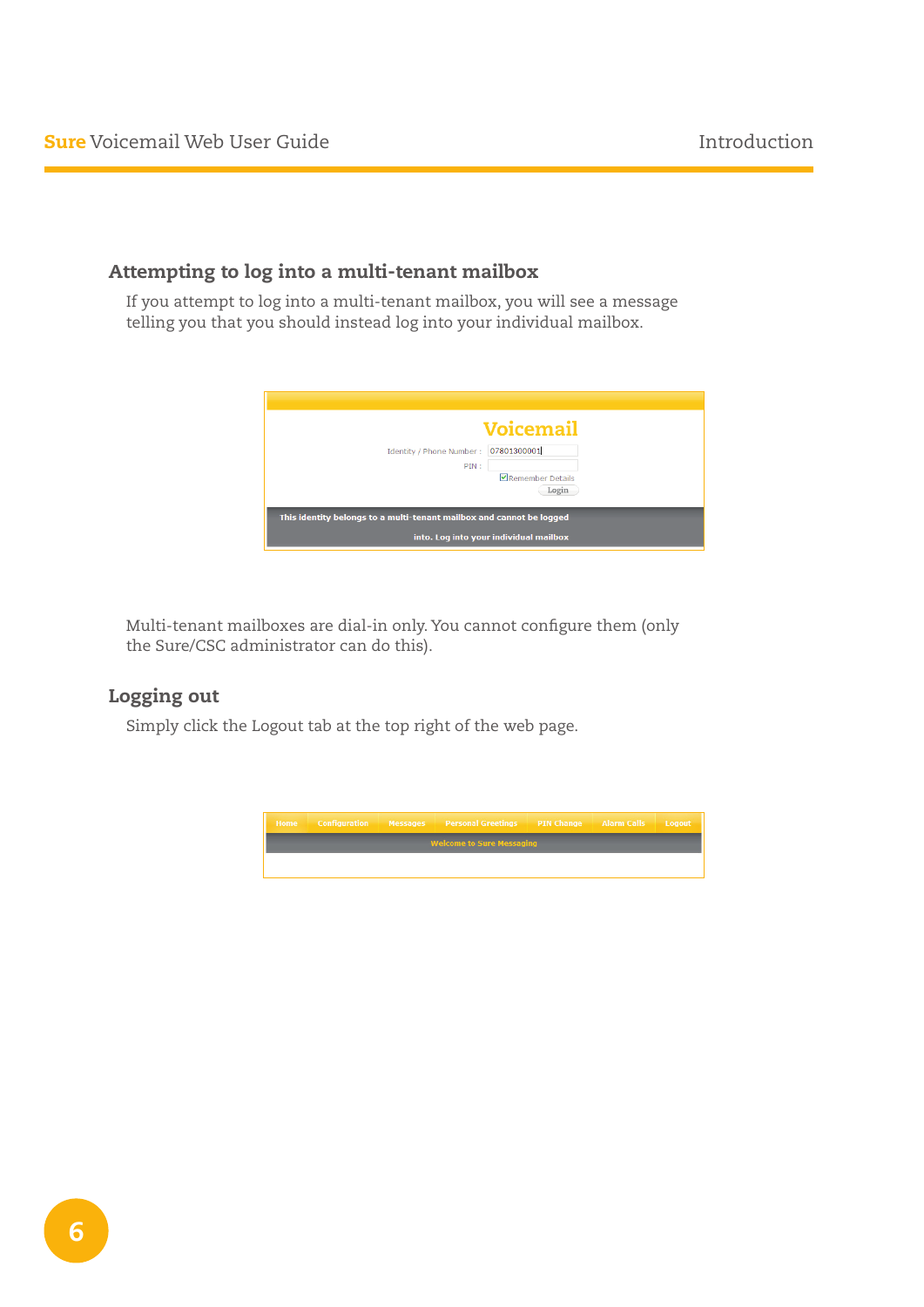## Attempting to log into a multi-tenant mailbox

If you attempt to log into a multi-tenant mailbox, you will see a message telling you that you should instead log into your individual mailbox.



Multi-tenant mailboxes are dial-in only. You cannot configure them (only the Sure/CSC administrator can do this).

## Logging out

Simply click the Logout tab at the top right of the web page.

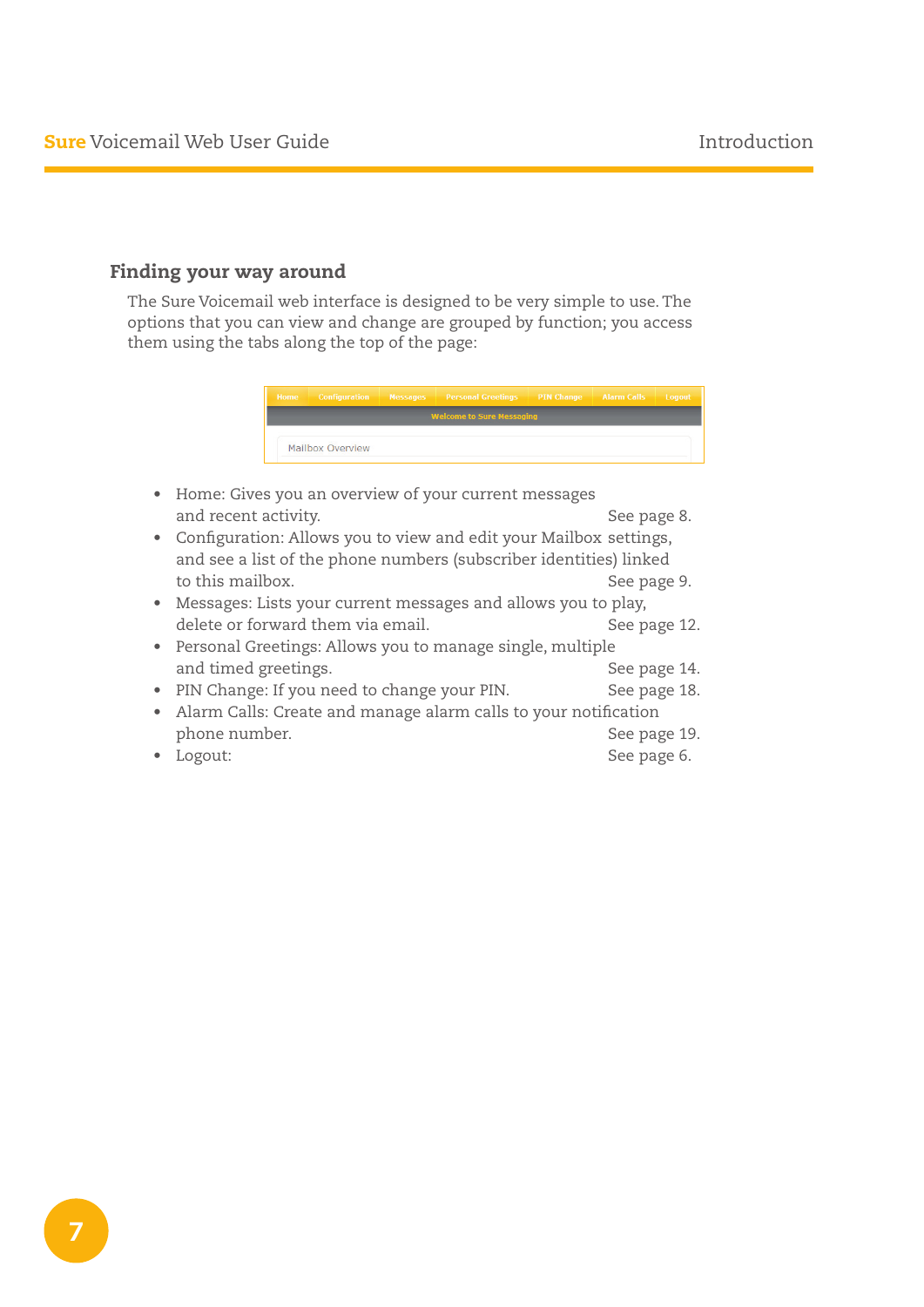## Finding your way around

The Sure Voicemail web interface is designed to be very simple to use. The options that you can view and change are grouped by function; you access them using the tabs along the top of the page:



- Home: Gives you an overview of your current messages and recent activity. The same state of the seed of the seed of the See page 8.
- Configuration: Allows you to view and edit your Mailbox settings, and see a list of the phone numbers (subscriber identities) linked to this mailbox. See page 9.
- • Messages: Lists your current messages and allows you to play, delete or forward them via email. The same of the See page 12.
- Personal Greetings: Allows you to manage single, multiple and timed greetings. The set of the See page 14.
- PIN Change: If you need to change your PIN. See page 18.
- Alarm Calls: Create and manage alarm calls to your notification phone number. See page 19.
- • Logout: See page 6.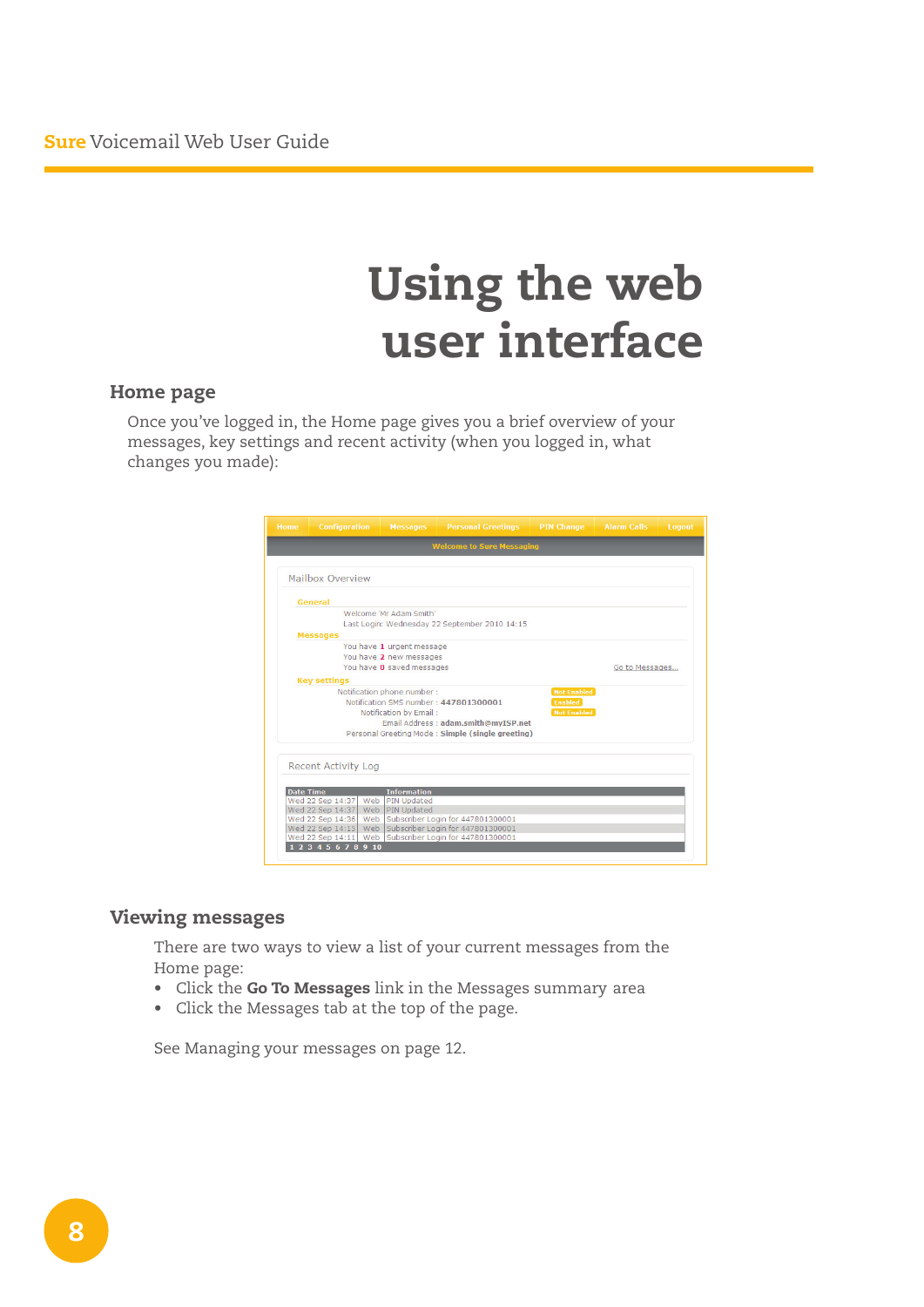## Using the web user interface

#### Home page

Once you've logged in, the Home page gives you a brief overview of your messages, key settings and recent activity (when you logged in, what changes you made):

| <b>Home</b>      | <b>Configuration</b>                 | <b>Messages</b>                              | <b>Personal Greetings</b>                              | <b>PIN Change</b>  | <b>Alarm Calls</b> | Logout |
|------------------|--------------------------------------|----------------------------------------------|--------------------------------------------------------|--------------------|--------------------|--------|
|                  |                                      |                                              | <b>Welcome to Sure Messaging</b>                       |                    |                    |        |
|                  |                                      |                                              |                                                        |                    |                    |        |
|                  | Mailbox Overview                     |                                              |                                                        |                    |                    |        |
|                  | General                              |                                              |                                                        |                    |                    |        |
|                  |                                      | Welcome 'Mr Adam Smith'                      |                                                        |                    |                    |        |
|                  |                                      |                                              | Last Login: Wednesday 22 September 2010 14:15          |                    |                    |        |
|                  | <b>Messages</b>                      |                                              |                                                        |                    |                    |        |
|                  |                                      | You have 1 urgent message                    |                                                        |                    |                    |        |
|                  |                                      | You have 2 new messages                      |                                                        |                    |                    |        |
|                  |                                      | You have 0 saved messages                    |                                                        |                    | Go to Messages     |        |
|                  | <b>Key settings</b>                  |                                              |                                                        |                    |                    |        |
|                  |                                      | Notification phone number :                  |                                                        | <b>Not Enabled</b> |                    |        |
|                  |                                      | Notification SMS number: 447801300001        |                                                        | <b>Enabled</b>     |                    |        |
|                  |                                      | Notification by Email:                       |                                                        | <b>Not Enabled</b> |                    |        |
|                  |                                      |                                              | Email Address: adam.smith@mvISP.net                    |                    |                    |        |
|                  |                                      |                                              | Personal Greeting Mode: Simple (single greeting)       |                    |                    |        |
|                  |                                      |                                              |                                                        |                    |                    |        |
|                  |                                      |                                              |                                                        |                    |                    |        |
|                  | <b>Recent Activity Log</b>           |                                              |                                                        |                    |                    |        |
|                  |                                      |                                              |                                                        |                    |                    |        |
| <b>Date Time</b> |                                      | <b>Information</b>                           |                                                        |                    |                    |        |
|                  | Wed 22 Sep 14:37<br>Wed 22 Sep 14:37 | Web<br><b>PIN Updated</b><br>Web PIN Updated |                                                        |                    |                    |        |
|                  | Wed 22 Sep 14:36                     | Web                                          | Subscriber Login for 447801300001                      |                    |                    |        |
|                  | Wed 22 Sep 14:15                     |                                              | Web Subscriber Login for 447801300001                  |                    |                    |        |
|                  |                                      |                                              | Wed 22 Sep 14:11 Web Subscriber Login for 447801300001 |                    |                    |        |
|                  | 2345678910                           |                                              |                                                        |                    |                    |        |
|                  |                                      |                                              |                                                        |                    |                    |        |

## Viewing messages

There are two ways to view a list of your current messages from the Home page:

- Click the Go To Messages link in the Messages summary area
- • Click the Messages tab at the top of the page.

See Managing your messages on page 12.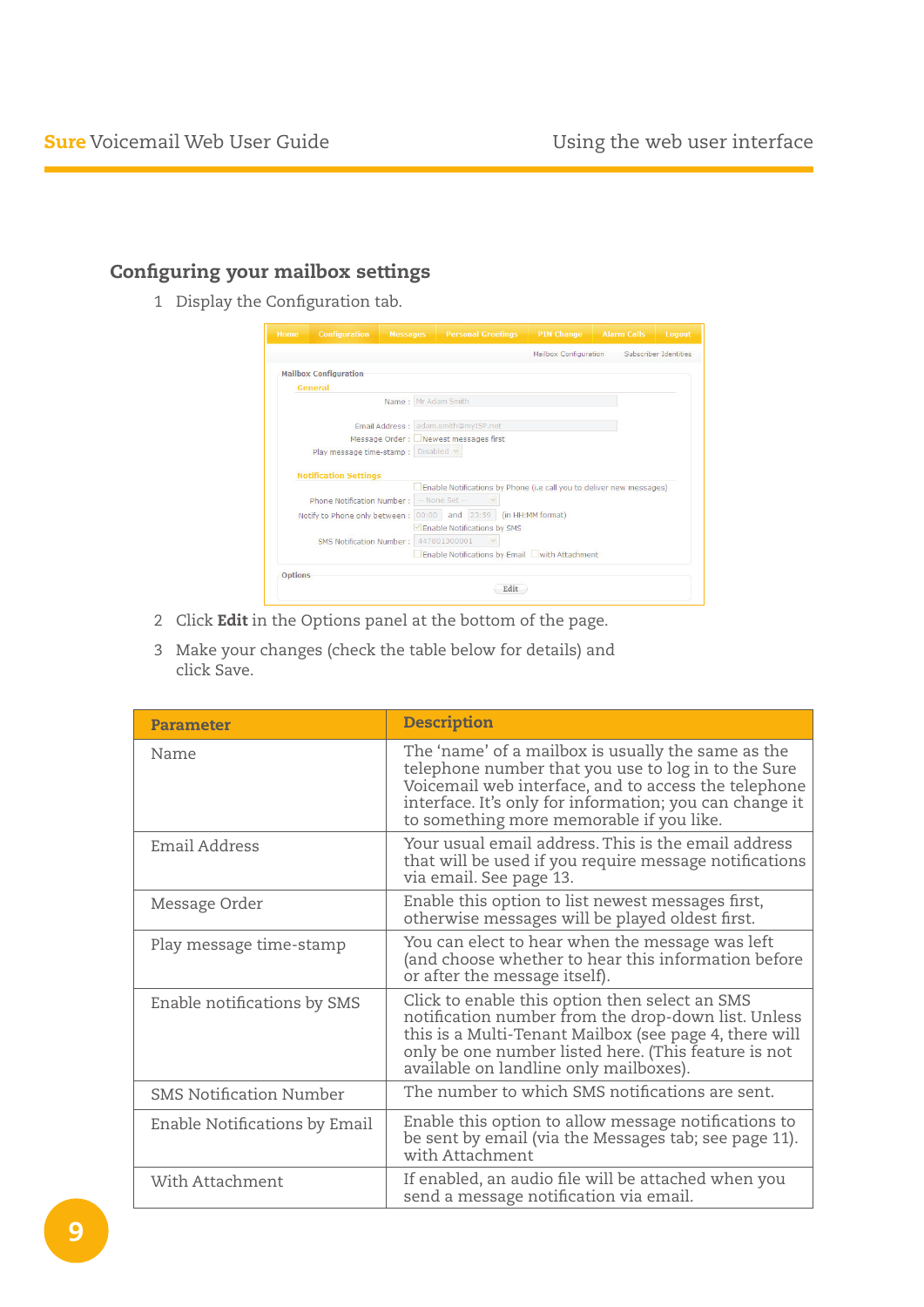## Configuring your mailbox settings

1 Display the Configuration tab.

|                | <b>Configuration</b>               | <b>Messages</b> | <b>Personal Greetings</b>                                            | <b>PIN Change</b>     | <b>Alarm Calls</b> | Logout<br>Subscriber Identities |
|----------------|------------------------------------|-----------------|----------------------------------------------------------------------|-----------------------|--------------------|---------------------------------|
|                |                                    |                 |                                                                      | Mailbox Configuration |                    |                                 |
|                | <b>Mailbox Configuration</b>       |                 |                                                                      |                       |                    |                                 |
|                | General                            |                 |                                                                      |                       |                    |                                 |
|                |                                    |                 | Name: Mr Adam Smith                                                  |                       |                    |                                 |
|                |                                    |                 |                                                                      |                       |                    |                                 |
|                |                                    |                 | Email Address: adam.smith@myISP.net                                  |                       |                    |                                 |
|                |                                    |                 | Message Order: Newest messages first                                 |                       |                    |                                 |
|                |                                    |                 |                                                                      |                       |                    |                                 |
|                | Play message time-stamp : Disabled |                 |                                                                      |                       |                    |                                 |
|                |                                    |                 |                                                                      |                       |                    |                                 |
|                | <b>Notification Settings</b>       |                 |                                                                      |                       |                    |                                 |
|                |                                    |                 | Enable Notifications by Phone (i.e call you to deliver new messages) |                       |                    |                                 |
|                | Phone Notification Number:         |                 | -- None Set --                                                       |                       |                    |                                 |
|                | Notify to Phone only between :     |                 | and 23:59<br>00:00                                                   | (in HH:MM format)     |                    |                                 |
|                |                                    |                 | $\vee$ Enable Notifications by SMS                                   |                       |                    |                                 |
|                | SMS Notification Number:           |                 | 447801300001                                                         |                       |                    |                                 |
|                |                                    |                 | Enable Notifications by Email With Attachment                        |                       |                    |                                 |
| <b>Options</b> |                                    |                 |                                                                      |                       |                    |                                 |

- 2 Click Edit in the Options panel at the bottom of the page.
- 3 Make your changes (check the table below for details) and click Save.

| <b>Parameter</b>               | <b>Description</b>                                                                                                                                                                                                                                                       |
|--------------------------------|--------------------------------------------------------------------------------------------------------------------------------------------------------------------------------------------------------------------------------------------------------------------------|
| Name                           | The 'name' of a mailbox is usually the same as the<br>telephone number that you use to log in to the Sure<br>Voicemail web interface, and to access the telephone<br>interface. It's only for information; you can change it<br>to something more memorable if you like. |
| Email Address                  | Your usual email address. This is the email address<br>that will be used if you require message notifications<br>via email. See page 13.                                                                                                                                 |
| Message Order                  | Enable this option to list newest messages first,<br>otherwise messages will be played oldest first.                                                                                                                                                                     |
| Play message time-stamp        | You can elect to hear when the message was left<br>(and choose whether to hear this information before<br>or after the message itself).                                                                                                                                  |
| Enable notifications by SMS    | Click to enable this option then select an SMS<br>notification number from the drop-down list. Unless<br>this is a Multi-Tenant Mailbox (see page 4, there will<br>only be one number listed here. (This feature is not<br>available on landline only mailboxes).        |
| <b>SMS Notification Number</b> | The number to which SMS notifications are sent.                                                                                                                                                                                                                          |
| Enable Notifications by Email  | Enable this option to allow message notifications to<br>be sent by email (via the Messages tab; see page 11).<br>with Attachment                                                                                                                                         |
| With Attachment                | If enabled, an audio file will be attached when you<br>send a message notification via email.                                                                                                                                                                            |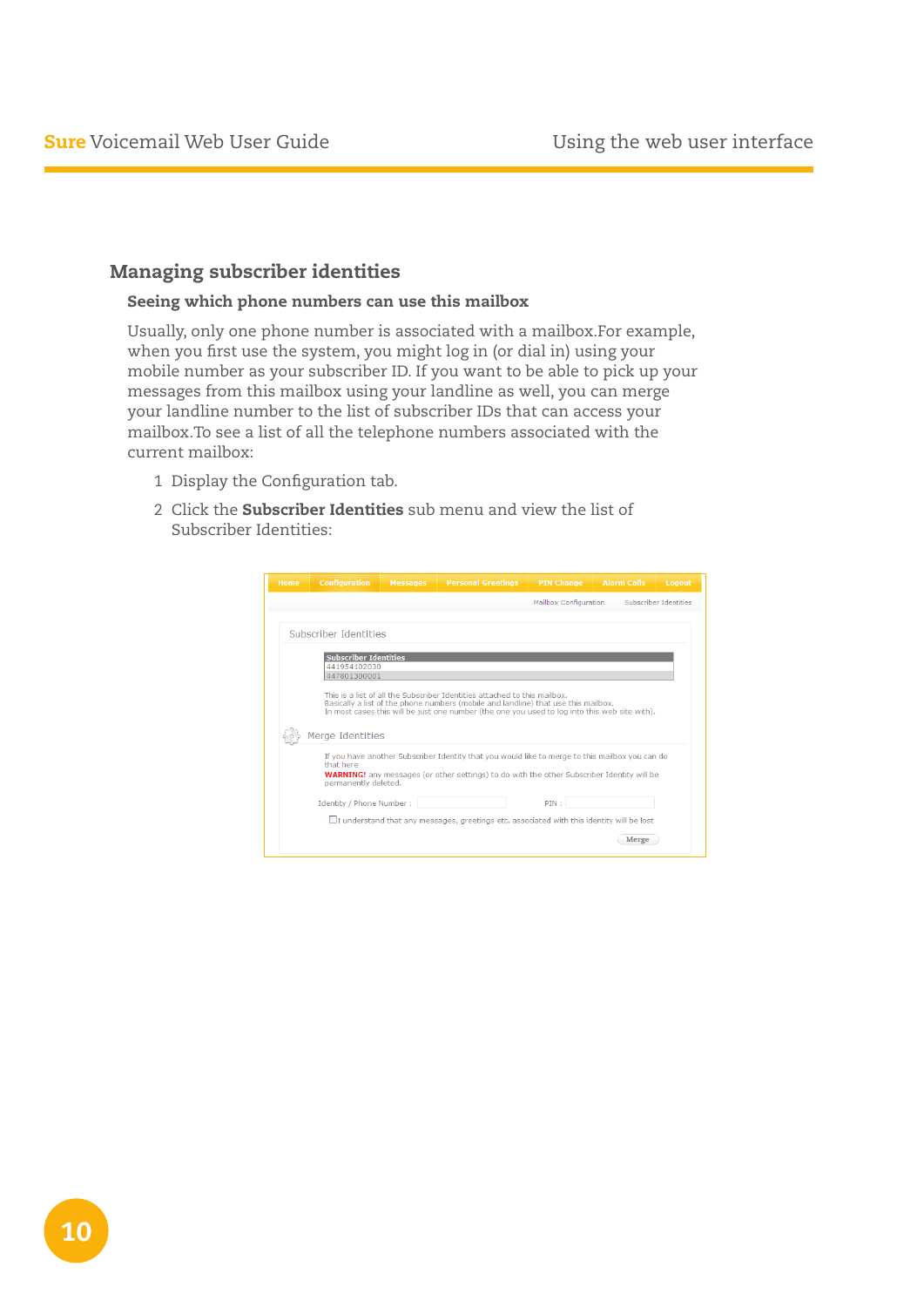### Managing subscriber identities

#### Seeing which phone numbers can use this mailbox

Usually, only one phone number is associated with a mailbox.For example, when you first use the system, you might log in (or dial in) using your mobile number as your subscriber ID. If you want to be able to pick up your messages from this mailbox using your landline as well, you can merge your landline number to the list of subscriber IDs that can access your mailbox.To see a list of all the telephone numbers associated with the current mailbox:

- 1 Display the Configuration tab.
- 2 Click the **Subscriber Identities** sub menu and view the list of Subscriber Identities:

| <b>Home</b> | <b>Configuration</b>                                                                  | <b>Messages</b> | <b>Personal Greetings</b>                                                                                                                                                                                                                                        | <b>PIN Change</b>     | <b>Alarm Calls</b> | Logout                |
|-------------|---------------------------------------------------------------------------------------|-----------------|------------------------------------------------------------------------------------------------------------------------------------------------------------------------------------------------------------------------------------------------------------------|-----------------------|--------------------|-----------------------|
|             |                                                                                       |                 |                                                                                                                                                                                                                                                                  | Mailbox Configuration |                    | Subscriber Identities |
|             | Subscriber Identities<br><b>Subscriber Identities</b><br>441954102030<br>447801300001 |                 |                                                                                                                                                                                                                                                                  |                       |                    |                       |
|             | Merge Identities                                                                      |                 | This is a list of all the Subscriber Identities attached to this mailbox.<br>Basically a list of the phone numbers (mobile and landline) that use this mailbox.<br>In most cases this will be just one number (the one you used to log into this web site with). |                       |                    |                       |
|             | that here<br>permanently deleted.                                                     |                 | If you have another Subscriber Identity that you would like to merge to this mailbox you can do<br><b>WARNING!</b> any messages (or other settings) to do with the other Subscriber Identity will be                                                             |                       |                    |                       |
|             | Identity / Phone Number:                                                              |                 | $\Box$ I understand that any messages, greetings etc. associated with this identity will be lost                                                                                                                                                                 | PIN:                  |                    |                       |
|             |                                                                                       |                 |                                                                                                                                                                                                                                                                  |                       | Merge              |                       |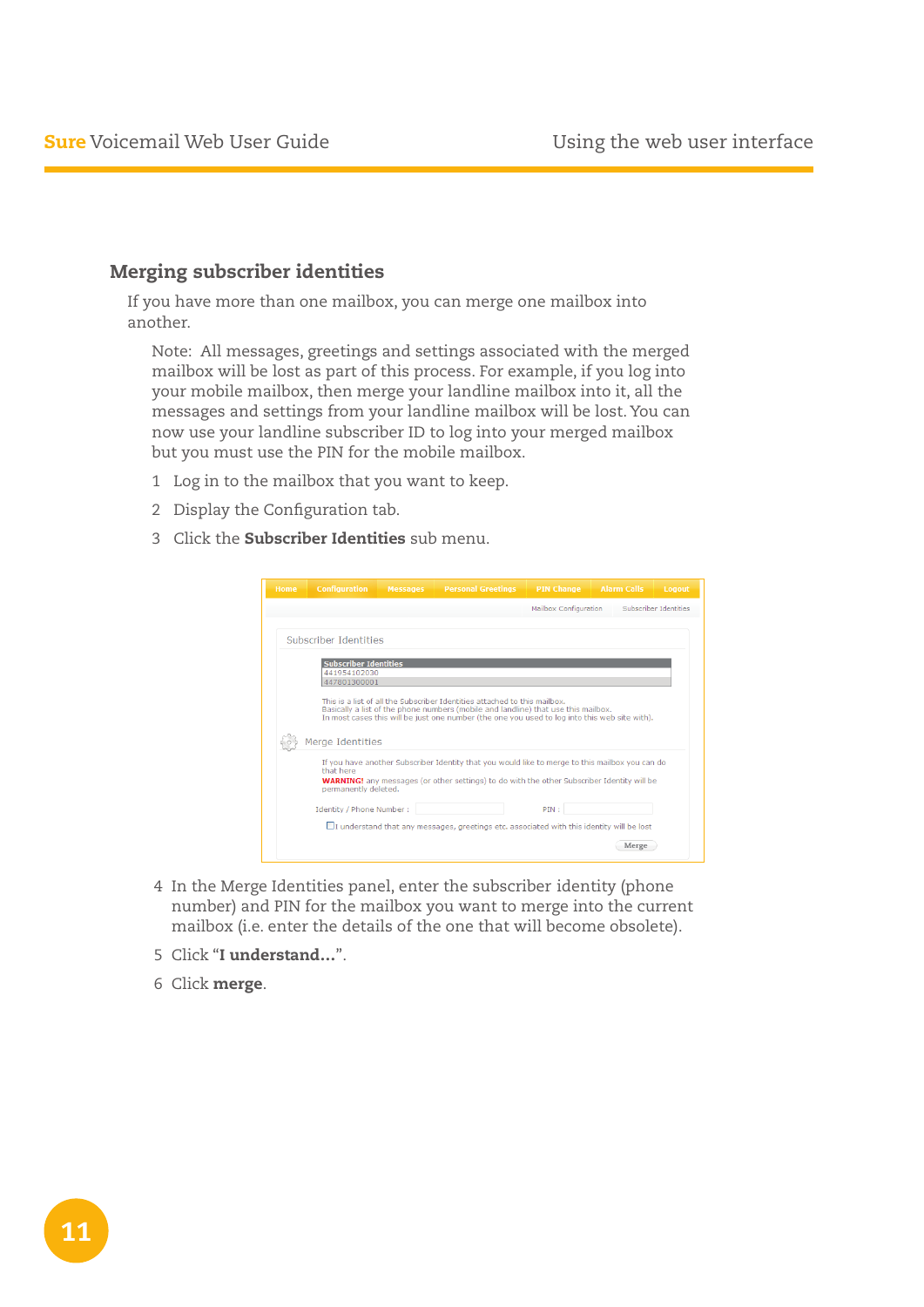### Merging subscriber identities

If you have more than one mailbox, you can merge one mailbox into another.

Note: All messages, greetings and settings associated with the merged mailbox will be lost as part of this process. For example, if you log into your mobile mailbox, then merge your landline mailbox into it, all the messages and settings from your landline mailbox will be lost. You can now use your landline subscriber ID to log into your merged mailbox but you must use the PIN for the mobile mailbox.

- 1 Log in to the mailbox that you want to keep.
- 2 Display the Configuration tab.
- 3 Click the **Subscriber Identities** sub menu.

| <b>Configuration</b>         | <b>Messages</b> | <b>Personal Greetings</b>                                                                                                                                                                                                                                        | <b>PIN Change</b>     | <b>Alarm Calls</b> | Logout                |
|------------------------------|-----------------|------------------------------------------------------------------------------------------------------------------------------------------------------------------------------------------------------------------------------------------------------------------|-----------------------|--------------------|-----------------------|
|                              |                 |                                                                                                                                                                                                                                                                  | Mailbox Configuration |                    | Subscriber Identities |
|                              |                 |                                                                                                                                                                                                                                                                  |                       |                    |                       |
| Subscriber Identities        |                 |                                                                                                                                                                                                                                                                  |                       |                    |                       |
| <b>Subscriber Identities</b> |                 |                                                                                                                                                                                                                                                                  |                       |                    |                       |
| 441954102030                 |                 |                                                                                                                                                                                                                                                                  |                       |                    |                       |
| 447801300001                 |                 |                                                                                                                                                                                                                                                                  |                       |                    |                       |
|                              |                 | This is a list of all the Subscriber Identities attached to this mailbox.<br>Basically a list of the phone numbers (mobile and landline) that use this mailbox.<br>In most cases this will be just one number (the one you used to log into this web site with). |                       |                    |                       |
|                              |                 |                                                                                                                                                                                                                                                                  |                       |                    |                       |
| Merge Identities             |                 |                                                                                                                                                                                                                                                                  |                       |                    |                       |
| that here                    |                 | If you have another Subscriber Identity that you would like to merge to this mailbox you can do                                                                                                                                                                  |                       |                    |                       |
| permanently deleted.         |                 | <b>WARNING!</b> any messages (or other settings) to do with the other Subscriber Identity will be                                                                                                                                                                |                       |                    |                       |
| Identity / Phone Number:     |                 |                                                                                                                                                                                                                                                                  | PIN:                  |                    |                       |
|                              |                 | $\Box$ I understand that any messages, greetings etc. associated with this identity will be lost                                                                                                                                                                 |                       |                    |                       |

- 4 In the Merge Identities panel, enter the subscriber identity (phone number) and PIN for the mailbox you want to merge into the current mailbox (i.e. enter the details of the one that will become obsolete).
- 5 Click "I understand…".
- 6 Click merge.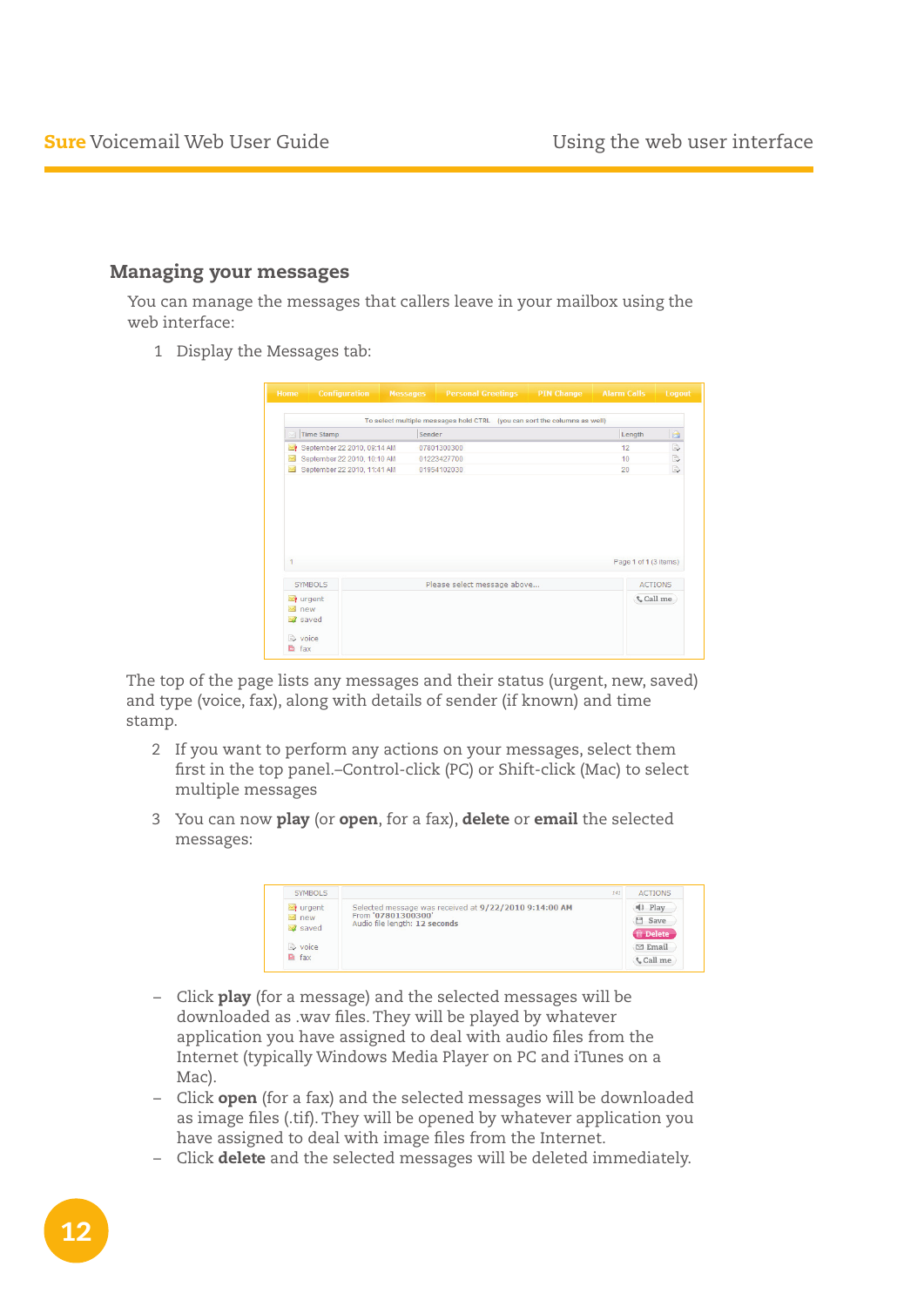### Managing your messages

You can manage the messages that callers leave in your mailbox using the web interface:

1 Display the Messages tab:

| Home                                                             | <b>Configuration</b>        | <b>Messages</b> |                                                                          | <b>Personal Greetings</b> | <b>PIN Change</b> | <b>Alarm Calls</b> |                       | Logout         |
|------------------------------------------------------------------|-----------------------------|-----------------|--------------------------------------------------------------------------|---------------------------|-------------------|--------------------|-----------------------|----------------|
|                                                                  |                             |                 | To select multiple messages hold CTRL (you can sort the columns as well) |                           |                   |                    |                       |                |
| $\mathbb{Z}$                                                     | Time Stamp                  |                 | Sender                                                                   |                           |                   |                    | Length                | $\triangle$    |
| ∼≬                                                               | September 22 2010, 09:14 AM |                 | 07801300300                                                              |                           |                   |                    | 12                    | B,             |
| X                                                                | September 22 2010, 10:10 AM |                 | 01223427700                                                              |                           |                   |                    | 10                    | B,             |
| $\overline{\phantom{a}}$                                         | September 22 2010, 11:41 AM |                 | 01954102030                                                              |                           |                   |                    | 20                    | D              |
|                                                                  |                             |                 |                                                                          |                           |                   |                    |                       |                |
| 1                                                                |                             |                 |                                                                          |                           |                   |                    | Page 1 of 1 (3 items) |                |
| SYMBOLS                                                          |                             |                 | Please select message above                                              |                           |                   |                    |                       | <b>ACTIONS</b> |
| urgent<br>$\overline{\mathbb{M}}$ new<br>saved<br><b>E</b> voice |                             |                 |                                                                          |                           |                   |                    |                       | <b>Call</b> me |

The top of the page lists any messages and their status (urgent, new, saved) and type (voice, fax), along with details of sender (if known) and time stamp.

- 2 If you want to perform any actions on your messages, select them first in the top panel.–Control-click (PC) or Shift-click (Mac) to select multiple messages
- 3 You can now play (or open, for a fax), delete or email the selected messages:

| <b>SYMBOLS</b> | 141                                                   | <b>ACTIONS</b>        |
|----------------|-------------------------------------------------------|-----------------------|
| $\sum$ urgent  | Selected message was received at 9/22/2010 9:14:00 AM | $\blacksquare$ ) Play |
| $\bowtie$ new  | From '07801300300'<br>Audio file length: 12 seconds   | <b>H</b> Save         |
| saved          |                                                       | <b>m</b> Delete       |
| voice          |                                                       | $\boxdot$ Email       |
| <b>■ fax</b>   |                                                       | <b>Call</b> me        |

- Click play (for a message) and the selected messages will be downloaded as .wav files. They will be played by whatever application you have assigned to deal with audio files from the Internet (typically Windows Media Player on PC and iTunes on a Mac).
- Click open (for a fax) and the selected messages will be downloaded as image files (.tif). They will be opened by whatever application you have assigned to deal with image files from the Internet.
- Click delete and the selected messages will be deleted immediately.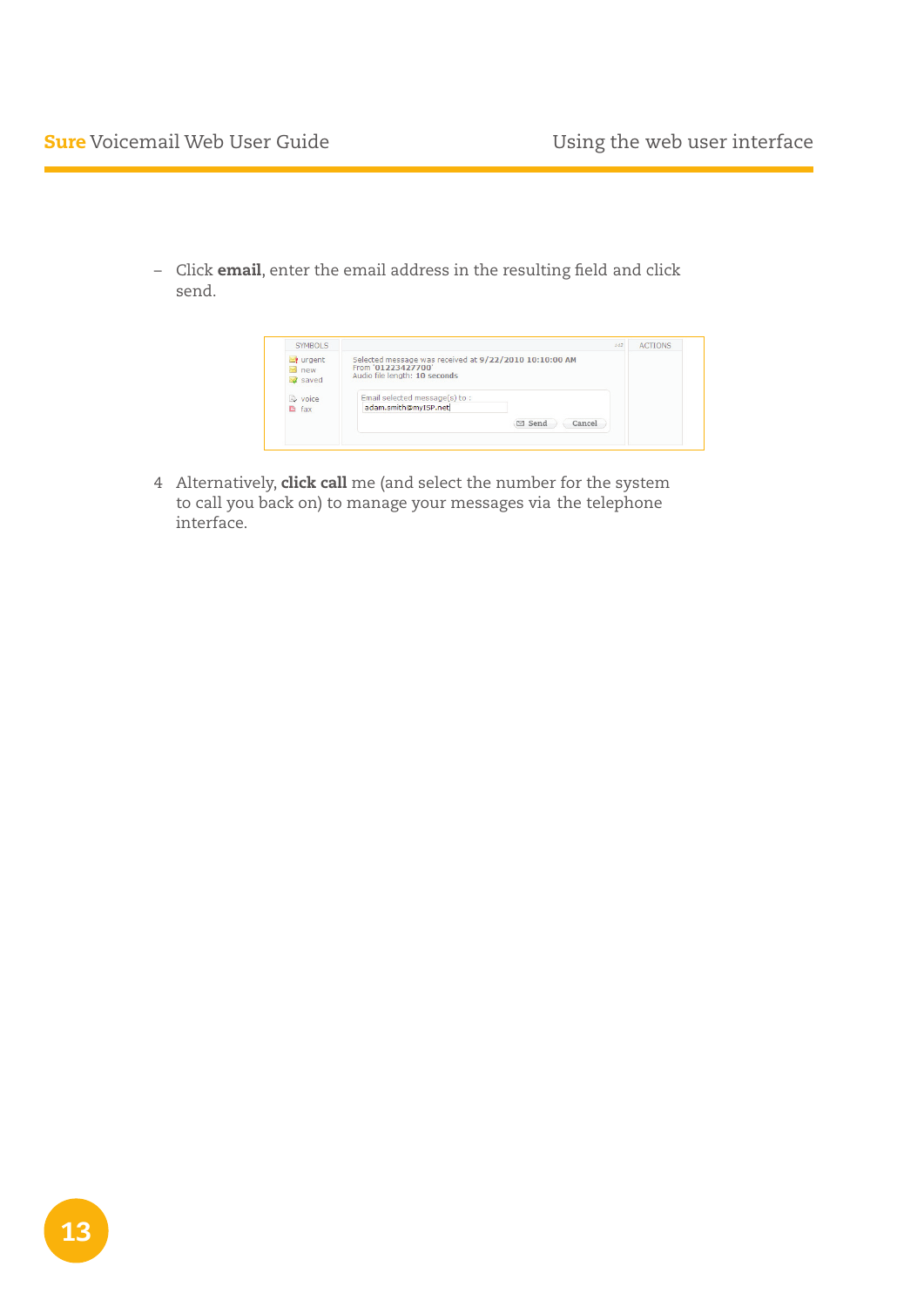– Click email, enter the email address in the resulting field and click send.



4 Alternatively, click call me (and select the number for the system to call you back on) to manage your messages via the telephone interface.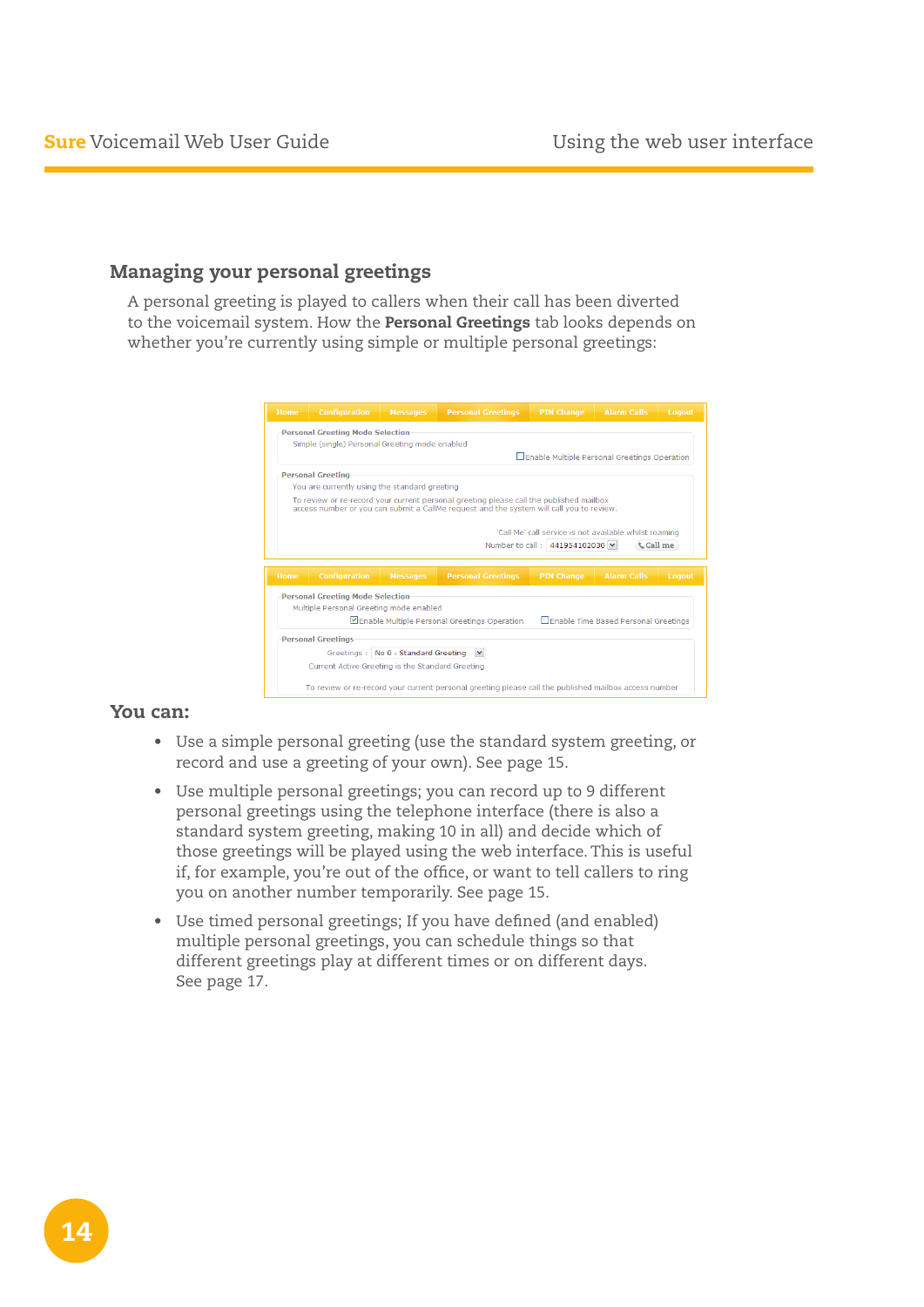## Managing your personal greetings

A personal greeting is played to callers when their call has been diverted to the voicemail system. How the **Personal Greetings** tab looks depends on whether you're currently using simple or multiple personal greetings:

|      | <b>Personal Greeting Mode Selection</b><br>Simple (single) Personal Greeting mode enabled |                                     |                                                                                                                                                                                     |                                                        |                                      |                |
|------|-------------------------------------------------------------------------------------------|-------------------------------------|-------------------------------------------------------------------------------------------------------------------------------------------------------------------------------------|--------------------------------------------------------|--------------------------------------|----------------|
|      |                                                                                           |                                     |                                                                                                                                                                                     | Enable Multiple Personal Greetings Operation           |                                      |                |
|      | <b>Personal Greeting</b>                                                                  |                                     |                                                                                                                                                                                     |                                                        |                                      |                |
|      | You are currently using the standard greeting                                             |                                     |                                                                                                                                                                                     |                                                        |                                      |                |
|      |                                                                                           |                                     | To review or re-record your current personal greeting please call the published mailbox<br>access number or you can submit a CallMe request and the system will call you to review. |                                                        |                                      |                |
|      |                                                                                           |                                     |                                                                                                                                                                                     |                                                        |                                      |                |
|      |                                                                                           |                                     |                                                                                                                                                                                     |                                                        |                                      |                |
|      |                                                                                           |                                     |                                                                                                                                                                                     | 'Call Me' call service is not available whilst roaming |                                      |                |
|      |                                                                                           |                                     |                                                                                                                                                                                     | Number to call: 441954102030  v                        |                                      | <b>Call</b> me |
|      |                                                                                           |                                     |                                                                                                                                                                                     |                                                        |                                      |                |
| Home | <b>Configuration</b>                                                                      | <b>Messages</b>                     | <b>Personal Greetings</b>                                                                                                                                                           | <b>PIN Change</b>                                      | <b>Alarm Calls</b>                   | Logout         |
|      | <b>Personal Greeting Mode Selection</b>                                                   |                                     |                                                                                                                                                                                     |                                                        |                                      |                |
|      | Multiple Personal Greeting mode enabled                                                   |                                     |                                                                                                                                                                                     |                                                        |                                      |                |
|      |                                                                                           |                                     | Enable Multiple Personal Greetings Operation                                                                                                                                        |                                                        | Enable Time Based Personal Greetings |                |
|      | <b>Personal Greetings</b>                                                                 |                                     |                                                                                                                                                                                     |                                                        |                                      |                |
|      |                                                                                           | Greetings: No 0 - Standard Greeting |                                                                                                                                                                                     |                                                        |                                      |                |

#### You can:

- Use a simple personal greeting (use the standard system greeting, or record and use a greeting of your own). See page 15.
- Use multiple personal greetings; you can record up to 9 different personal greetings using the telephone interface (there is also a standard system greeting, making 10 in all) and decide which of those greetings will be played using the web interface. This is useful if, for example, you're out of the office, or want to tell callers to ring you on another number temporarily. See page 15.
- • Use timed personal greetings; If you have defined (and enabled) multiple personal greetings, you can schedule things so that different greetings play at different times or on different days. See page 17.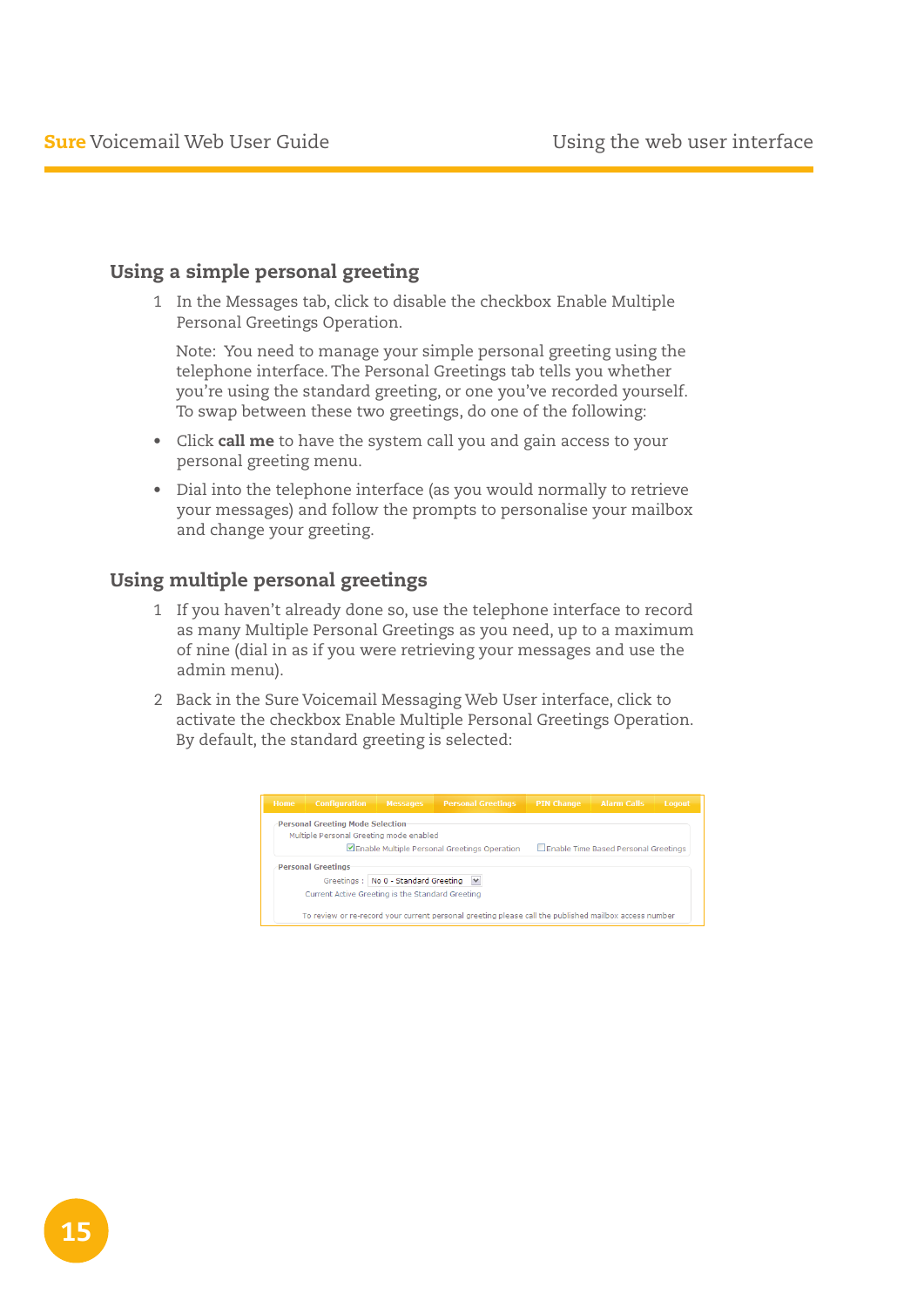### Using a simple personal greeting

1 In the Messages tab, click to disable the checkbox Enable Multiple Personal Greetings Operation.

 Note: You need to manage your simple personal greeting using the telephone interface. The Personal Greetings tab tells you whether you're using the standard greeting, or one you've recorded yourself. To swap between these two greetings, do one of the following:

- Click call me to have the system call you and gain access to your personal greeting menu.
- Dial into the telephone interface (as you would normally to retrieve your messages) and follow the prompts to personalise your mailbox and change your greeting.

#### Using multiple personal greetings

- 1 If you haven't already done so, use the telephone interface to record as many Multiple Personal Greetings as you need, up to a maximum of nine (dial in as if you were retrieving your messages and use the admin menu).
- 2 Back in the Sure Voicemail Messaging Web User interface, click to activate the checkbox Enable Multiple Personal Greetings Operation. By default, the standard greeting is selected:

| <b>Home</b> | <b>Configuration</b>                             | <b>Messages</b>                     | <b>Personal Greetings</b>                    | <b>PIN Change</b> | <b>Alarm Calls</b>                   | Logout |
|-------------|--------------------------------------------------|-------------------------------------|----------------------------------------------|-------------------|--------------------------------------|--------|
|             | <b>Personal Greeting Mode Selection</b>          |                                     |                                              |                   |                                      |        |
|             | Multiple Personal Greeting mode enabled          |                                     |                                              |                   |                                      |        |
|             |                                                  |                                     | Enable Multiple Personal Greetings Operation |                   | Enable Time Based Personal Greetings |        |
|             | <b>Personal Greetings</b>                        | Greetings: No 0 - Standard Greeting | $\checkmark$                                 |                   |                                      |        |
|             | Current Active Greeting is the Standard Greeting |                                     |                                              |                   |                                      |        |
|             |                                                  |                                     |                                              |                   |                                      |        |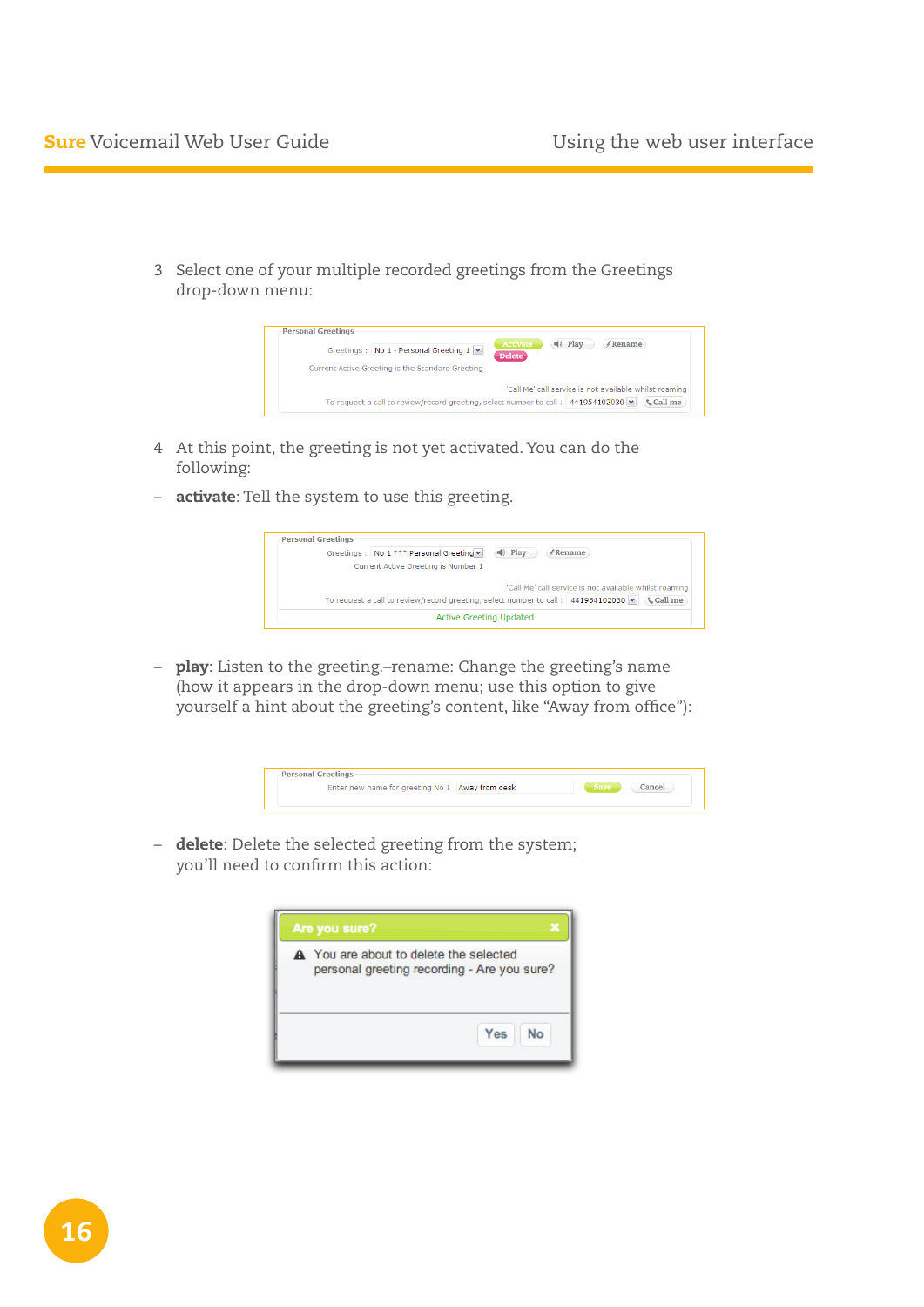3 Select one of your multiple recorded greetings from the Greetings drop-down menu:



- 4 At this point, the greeting is not yet activated. You can do the following:
- **activate**: Tell the system to use this greeting.



- **play**: Listen to the greeting.-rename: Change the greeting's name (how it appears in the drop-down menu; use this option to give yourself a hint about the greeting's content, like "Away from office"):



- delete: Delete the selected greeting from the system; you'll need to confirm this action:

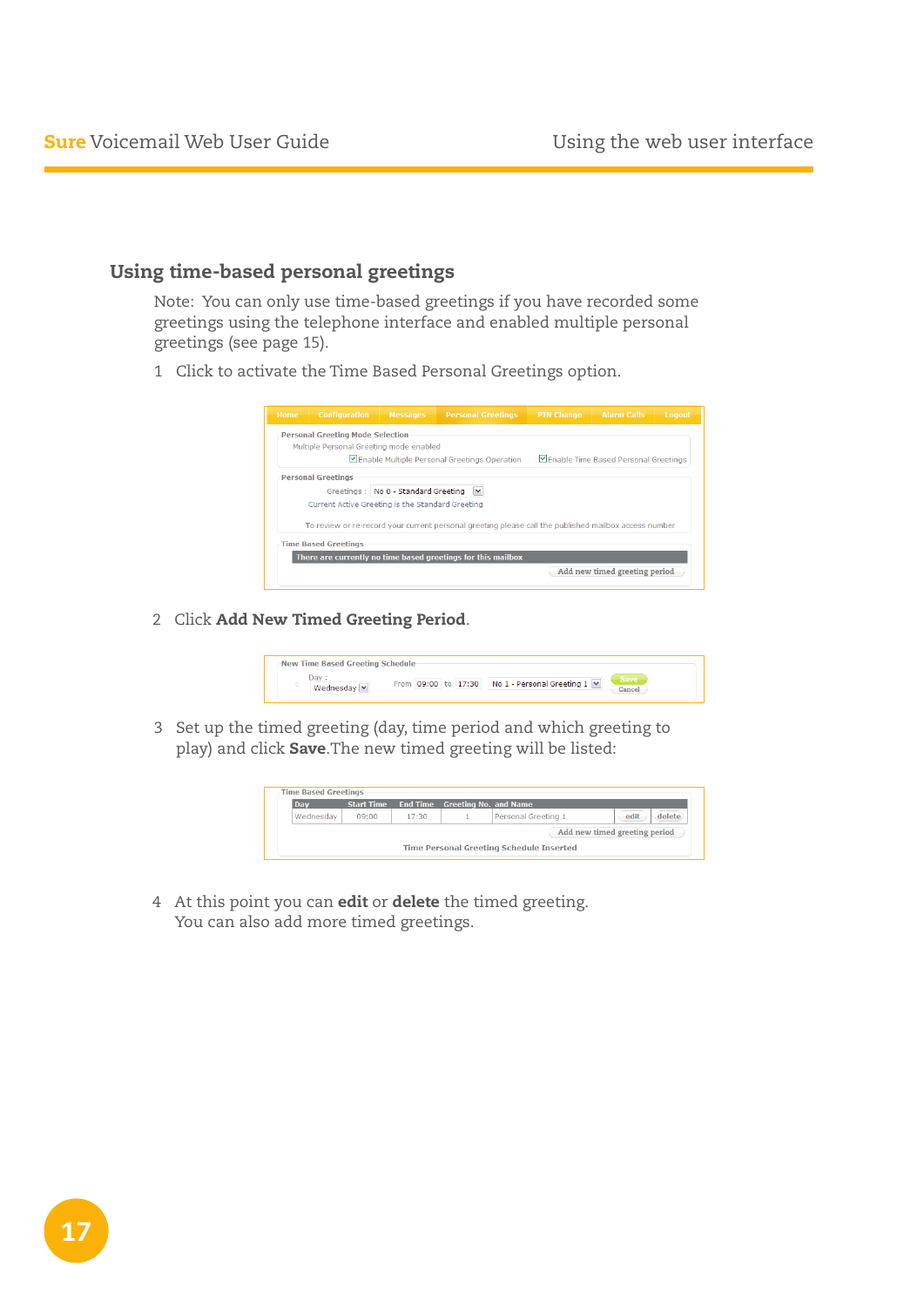## Using time-based personal greetings

Note: You can only use time-based greetings if you have recorded some greetings using the telephone interface and enabled multiple personal greetings (see page 15).

1 Click to activate the Time Based Personal Greetings option.



2 Click Add New Timed Greeting Period.



3 Set up the timed greeting (day, time period and which greeting to play) and click Save.The new timed greeting will be listed:



4 At this point you can **edit** or **delete** the timed greeting. You can also add more timed greetings.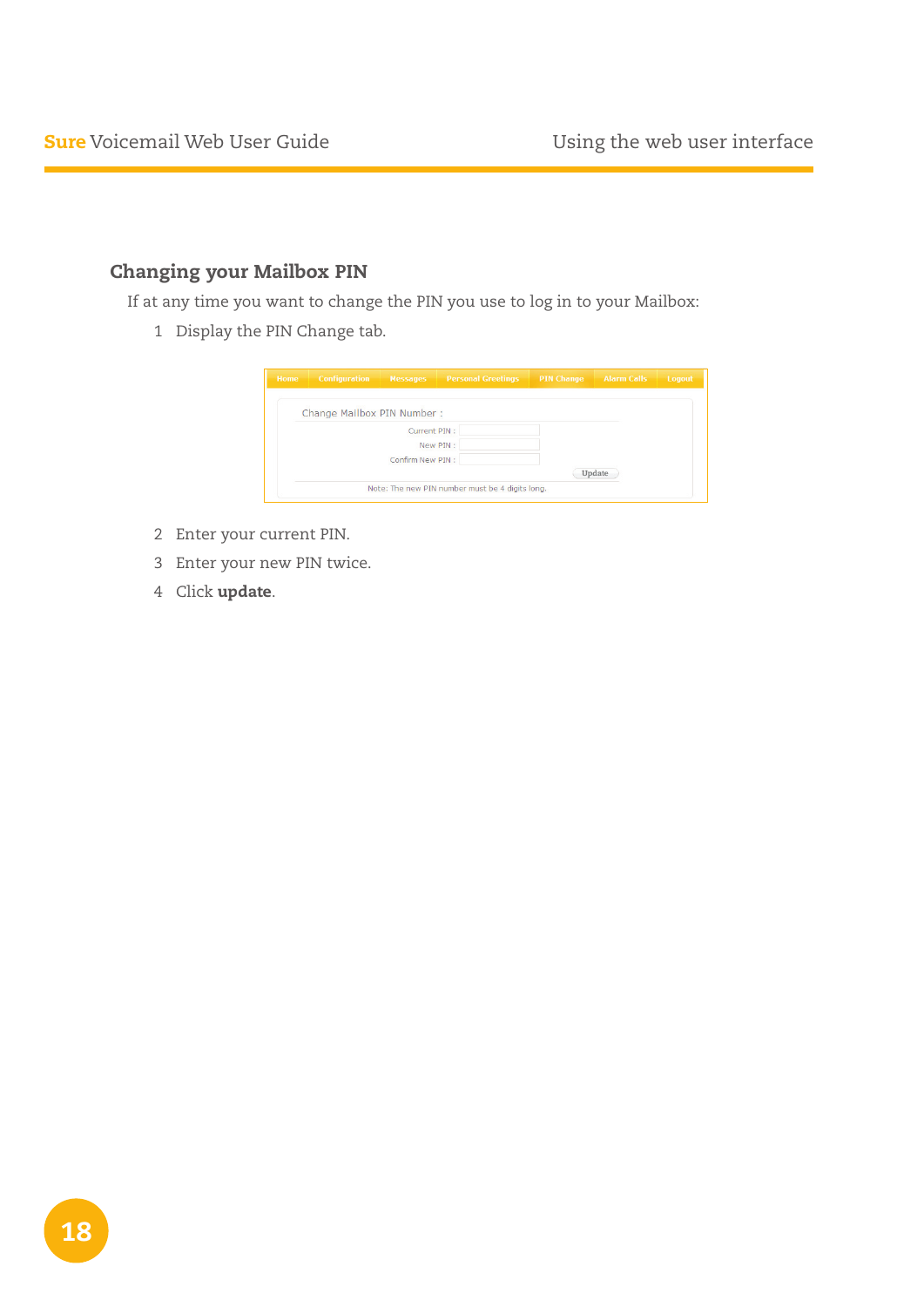## Changing your Mailbox PIN

If at any time you want to change the PIN you use to log in to your Mailbox:

Display the PIN Change tab.

| Home | <b>Configuration</b>       | <b>Messages</b>  | <b>Personal Greetings</b>                       | <b>PIN Change Alarm Calls</b> |        | Logout |
|------|----------------------------|------------------|-------------------------------------------------|-------------------------------|--------|--------|
|      | Change Mailbox PIN Number: |                  |                                                 |                               |        |        |
|      |                            | Current PIN:     |                                                 |                               |        |        |
|      |                            | New PIN:         |                                                 |                               |        |        |
|      |                            | Confirm New PIN: |                                                 |                               |        |        |
|      |                            |                  |                                                 |                               | Update |        |
|      |                            |                  | Note: The new PIN number must be 4 digits long. |                               |        |        |

- Enter your current PIN.
- Enter your new PIN twice.
- Click update.